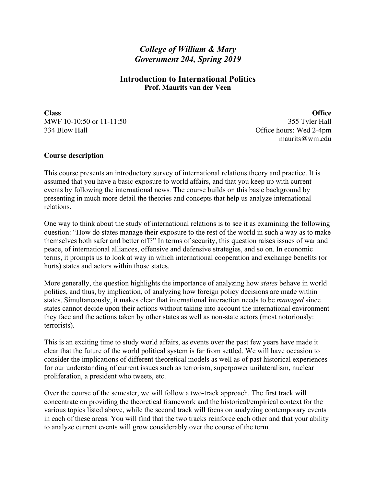# *College of William & Mary Government 204, Spring 2019*

## **Introduction to International Politics Prof. Maurits van der Veen**

**Class Office** MWF 10-10:50 or 11-11:50 355 Tyler Hall 334 Blow Hall Contract Contract Contract Contract Contract Contract Contract Contract Contract Office hours: Wed 2-4pm

maurits@wm.edu

## **Course description**

This course presents an introductory survey of international relations theory and practice. It is assumed that you have a basic exposure to world affairs, and that you keep up with current events by following the international news*.* The course builds on this basic background by presenting in much more detail the theories and concepts that help us analyze international relations.

One way to think about the study of international relations is to see it as examining the following question: "How do states manage their exposure to the rest of the world in such a way as to make themselves both safer and better off?" In terms of security, this question raises issues of war and peace, of international alliances, offensive and defensive strategies, and so on. In economic terms, it prompts us to look at way in which international cooperation and exchange benefits (or hurts) states and actors within those states.

More generally, the question highlights the importance of analyzing how *states* behave in world politics, and thus, by implication, of analyzing how foreign policy decisions are made within states. Simultaneously, it makes clear that international interaction needs to be *managed* since states cannot decide upon their actions without taking into account the international environment they face and the actions taken by other states as well as non-state actors (most notoriously: terrorists).

This is an exciting time to study world affairs, as events over the past few years have made it clear that the future of the world political system is far from settled. We will have occasion to consider the implications of different theoretical models as well as of past historical experiences for our understanding of current issues such as terrorism, superpower unilateralism, nuclear proliferation, a president who tweets, etc.

Over the course of the semester, we will follow a two-track approach. The first track will concentrate on providing the theoretical framework and the historical/empirical context for the various topics listed above, while the second track will focus on analyzing contemporary events in each of these areas. You will find that the two tracks reinforce each other and that your ability to analyze current events will grow considerably over the course of the term.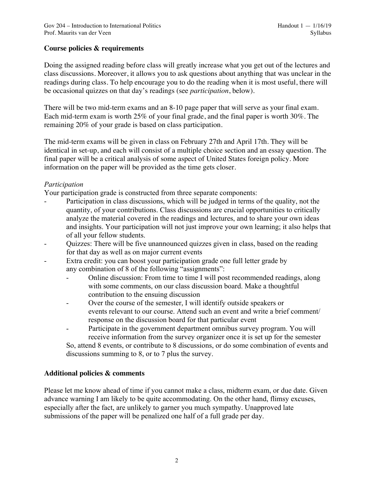## **Course policies & requirements**

Doing the assigned reading before class will greatly increase what you get out of the lectures and class discussions. Moreover, it allows you to ask questions about anything that was unclear in the readings during class. To help encourage you to do the reading when it is most useful, there will be occasional quizzes on that day's readings (see *participation*, below).

There will be two mid-term exams and an 8-10 page paper that will serve as your final exam. Each mid-term exam is worth 25% of your final grade, and the final paper is worth 30%. The remaining 20% of your grade is based on class participation.

The mid-term exams will be given in class on February 27th and April 17th. They will be identical in set-up, and each will consist of a multiple choice section and an essay question. The final paper will be a critical analysis of some aspect of United States foreign policy. More information on the paper will be provided as the time gets closer.

## *Participation*

Your participation grade is constructed from three separate components:

- Participation in class discussions, which will be judged in terms of the quality, not the quantity, of your contributions. Class discussions are crucial opportunities to critically analyze the material covered in the readings and lectures, and to share your own ideas and insights. Your participation will not just improve your own learning; it also helps that of all your fellow students.
- Quizzes: There will be five unannounced quizzes given in class, based on the reading for that day as well as on major current events
- Extra credit: you can boost your participation grade one full letter grade by any combination of 8 of the following "assignments":
	- Online discussion: From time to time I will post recommended readings, along with some comments, on our class discussion board. Make a thoughtful contribution to the ensuing discussion
	- Over the course of the semester, I will identify outside speakers or events relevant to our course. Attend such an event and write a brief comment/ response on the discussion board for that particular event
	- Participate in the government department omnibus survey program. You will receive information from the survey organizer once it is set up for the semester

So, attend 8 events, or contribute to 8 discussions, or do some combination of events and discussions summing to 8, or to 7 plus the survey.

## **Additional policies & comments**

Please let me know ahead of time if you cannot make a class, midterm exam, or due date. Given advance warning I am likely to be quite accommodating. On the other hand, flimsy excuses, especially after the fact, are unlikely to garner you much sympathy. Unapproved late submissions of the paper will be penalized one half of a full grade per day.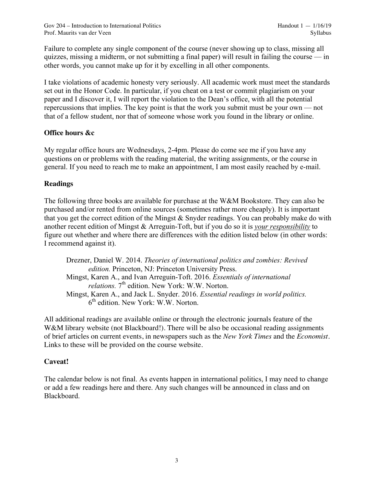Gov 204 – Introduction to International Politics Handout 1 — 1/16/19 Prof. Maurits van der Veen Syllabus van der Veen Syllabus van der Veen Syllabus van der Veen Syllabus van der Veen Syllabus van der Veen Syllabus van der Veen Syllabus van der Veen Syllabus van der Veen Syllabus van der Ve

Failure to complete any single component of the course (never showing up to class, missing all quizzes, missing a midterm, or not submitting a final paper) will result in failing the course  $\frac{d}{dx}$  in other words, you cannot make up for it by excelling in all other components.

I take violations of academic honesty very seriously. All academic work must meet the standards set out in the Honor Code. In particular, if you cheat on a test or commit plagiarism on your paper and I discover it, I will report the violation to the Dean's office, with all the potential repercussions that implies. The key point is that the work you submit must be your own — not that of a fellow student, nor that of someone whose work you found in the library or online.

## **Office hours &c**

My regular office hours are Wednesdays, 2-4pm. Please do come see me if you have any questions on or problems with the reading material, the writing assignments, or the course in general. If you need to reach me to make an appointment, I am most easily reached by e-mail.

## **Readings**

The following three books are available for purchase at the W&M Bookstore. They can also be purchased and/or rented from online sources (sometimes rather more cheaply). It is important that you get the correct edition of the Mingst & Snyder readings. You can probably make do with another recent edition of Mingst & Arreguin-Toft, but if you do so it is *your responsibility* to figure out whether and where there are differences with the edition listed below (in other words: I recommend against it).

Drezner, Daniel W. 2014. *Theories of international politics and zombies: Revived edition.* Princeton, NJ: Princeton University Press. Mingst, Karen A., and Ivan Arreguin-Toft. 2016. *Essentials of international*  relations. 7<sup>th</sup> edition. New York: W.W. Norton. Mingst, Karen A., and Jack L. Snyder. 2016. *Essential readings in world politics.*  $6<sup>th</sup>$  edition. New York: W.W. Norton.

All additional readings are available online or through the electronic journals feature of the W&M library website (not Blackboard!). There will be also be occasional reading assignments of brief articles on current events, in newspapers such as the *New York Times* and the *Economist*. Links to these will be provided on the course website.

## **Caveat!**

The calendar below is not final. As events happen in international politics, I may need to change or add a few readings here and there. Any such changes will be announced in class and on Blackboard.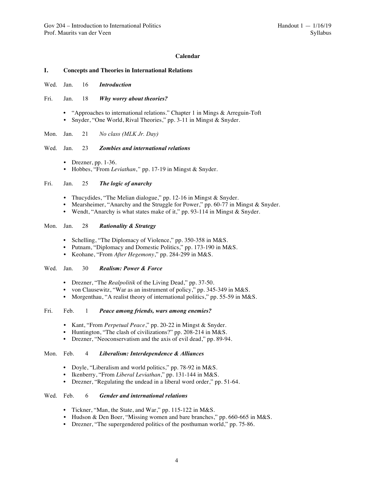## **Calendar**

#### **I. Concepts and Theories in International Relations**

- Wed. Jan. 16 *Introduction*
- Fri. Jan. 18 *Why worry about theories?*
	- "Approaches to international relations." Chapter 1 in Mings & Arreguin-Toft • Snyder, "One World, Rival Theories," pp. 3-11 in Mingst & Snyder.
- Mon. Jan. 21 *No class (MLK Jr. Day)*

## Wed. Jan. 23 *Zombies and international relations*

- Drezner, pp. 1-36.
- Hobbes, "From *Leviathan*,*"* pp. 17-19 in Mingst & Snyder.

## Fri. Jan. 25 *The logic of anarchy*

- Thucydides, "The Melian dialogue," pp. 12-16 in Mingst & Snyder.
- Mearsheimer, "Anarchy and the Struggle for Power," pp. 60-77 in Mingst & Snyder.
- Wendt, "Anarchy is what states make of it," pp. 93-114 in Mingst & Snyder.

## Mon. Jan. 28 *Rationality & Strategy*

- Schelling, "The Diplomacy of Violence," pp. 350-358 in M&S.
- Putnam, "Diplomacy and Domestic Politics," pp. 173-190 in M&S.
- Keohane, "From *After Hegemony*," pp. 284-299 in M&S.

#### Wed. Jan. 30 *Realism: Power & Force*

- Drezner, "The *Realpolitik* of the Living Dead," pp. 37-50.
- von Clausewitz, "War as an instrument of policy," pp. 345-349 in M&S.
- Morgenthau, "A realist theory of international politics," pp. 55-59 in M&S.

#### Fri. Feb. 1 *Peace among friends, wars among enemies?*

- Kant, "From *Perpetual Peace*," pp. 20-22 in Mingst & Snyder.
- Huntington, "The clash of civilizations?" pp. 208-214 in M&S.
- Drezner, "Neoconservatism and the axis of evil dead," pp. 89-94.

#### Mon. Feb. 4 *Liberalism: Interdependence & Alliances*

- Doyle, "Liberalism and world politics," pp. 78-92 in M&S.
- Ikenberry, "From *Liberal Leviathan*," pp. 131-144 in M&S.
- Drezner, "Regulating the undead in a liberal word order," pp. 51-64.

#### Wed. Feb. 6 *Gender and international relations*

- Tickner, "Man, the State, and War," pp. 115-122 in M&S.
- Hudson & Den Boer, "Missing women and bare branches," pp. 660-665 in M&S.
- Drezner, "The supergendered politics of the posthuman world," pp. 75-86.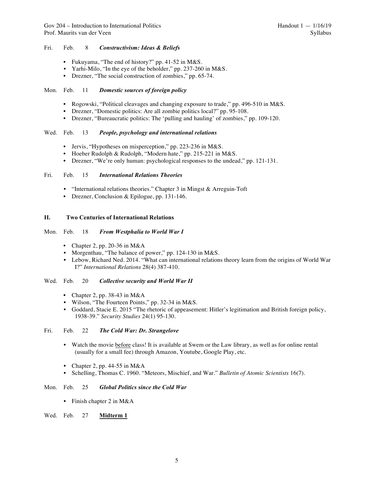## Fri. Feb. 8 *Constructivism: Ideas & Beliefs*

- Fukuyama, "The end of history?" pp. 41-52 in M&S.
- Yarhi-Milo, "In the eye of the beholder," pp. 237-260 in M&S.
- Drezner, "The social construction of zombies," pp. 65-74.

#### Mon. Feb. 11 *Domestic sources of foreign policy*

- Rogowski, "Political cleavages and changing exposure to trade," pp. 496-510 in M&S.
- Drezner, "Domestic politics: Are all zombie politics local?" pp. 95-108.
- Drezner, "Bureaucratic politics: The 'pulling and hauling' of zombies," pp. 109-120.

## Wed. Feb. 13 *People, psychology and international relations*

- Jervis, "Hypotheses on misperception," pp. 223-236 in M&S.
- Hoeber Rudolph & Rudolph, "Modern hate," pp. 215-221 in M&S.
- Drezner, "We're only human: psychological responses to the undead," pp. 121-131.

## Fri. Feb. 15 *International Relations Theories*

- "International relations theories." Chapter 3 in Mingst & Arreguin-Toft
- Drezner, Conclusion & Epilogue, pp. 131-146.

## **II. Two Centuries of International Relations**

#### Mon. Feb. 18 *From Westphalia to World War I*

- Chapter 2, pp. 20-36 in M&A
- Morgenthau, "The balance of power," pp. 124-130 in M&S.
- Lebow, Richard Ned. 2014. "What can international relations theory learn from the origins of World War I?" *International Relations* 28(4) 387-410.

#### Wed. Feb. 20 *Collective security and World War II*

- Chapter 2, pp. 38-43 in M&A
- Wilson, "The Fourteen Points," pp. 32-34 in M&S.
- Goddard, Stacie E. 2015 "The rhetoric of appeasement: Hitler's legitimation and British foreign policy, 1938-39." *Security Studies* 24(1) 95-130.

## Fri. Feb. 22 *The Cold War: Dr. Strangelove*

- Watch the movie before class! It is available at Swem or the Law library, as well as for online rental (usually for a small fee) through Amazon, Youtube, Google Play, etc.
- Chapter 2, pp. 44-55 in  $M&A$
- Schelling, Thomas C. 1960. "Meteors, Mischief, and War." *Bulletin of Atomic Scientists* 16(7).

#### Mon. Feb. 25 *Global Politics since the Cold War*

• Finish chapter 2 in M&A

## Wed. Feb. 27 **Midterm 1**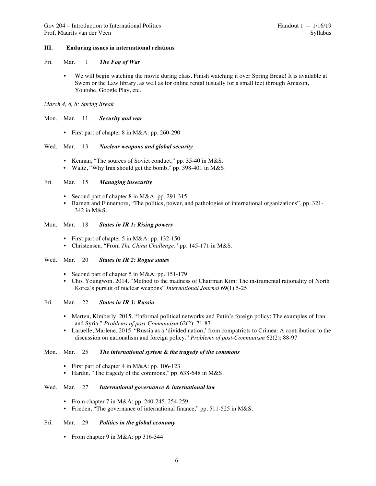### **III. Enduring issues in international relations**

- Fri. Mar. 1 *The Fog of War*
	- We will begin watching the movie during class. Finish watching it over Spring Break! It is available at Swem or the Law library, as well as for online rental (usually for a small fee) through Amazon, Youtube, Google Play, etc.
- *March 4, 6, 8: Spring Break*

Mon. Mar. 11 *Security and war*

• First part of chapter 8 in M&A: pp. 260-290

## Wed. Mar. 13 *Nuclear weapons and global security*

- Kennan, "The sources of Soviet conduct," pp. 35-40 in M&S.
- Waltz, "Why Iran should get the bomb," pp. 398-401 in M&S.

## Fri. Mar. 15 *Managing insecurity*

- Second part of chapter 8 in M&A: pp. 291-315
- Barnett and Finnemore, "The politics, power, and pathologies of international organizations", pp. 321- 342 in M&S.

#### Mon. Mar. 18 *States in IR 1: Rising powers*

- First part of chapter 5 in M&A: pp. 132-150
- Christensen, "From *The China Challenge*," pp. 145-171 in M&S.

## Wed. Mar. 20 *States in IR 2: Rogue states*

- Second part of chapter 5 in M&A: pp. 151-179
- Cho, Youngwon. 2014. "Method to the madness of Chairman Kim: The instrumental rationality of North Korea's pursuit of nuclear weapons" *International Journal* 69(1) 5-25.

## Fri. Mar. 22 *States in IR 3: Russia*

- Marten, Kimberly. 2015. "Informal political networks and Putin's foreign policy: The examples of Iran and Syria." *Problems of post-Communism* 62(2): 71-87
- Laruelle, Marlene. 2015. "Russia as a 'divided nation,' from compatriots to Crimea: A contribution to the discussion on nationalism and foreign policy." *Problems of post-Communism* 62(2): 88-97

### Mon. Mar. 25 *The international system & the tragedy of the commons*

- First part of chapter 4 in M&A: pp. 106-123
- Hardin, "The tragedy of the commons," pp. 638-648 in M&S.

#### Wed. Mar. 27 *International governance & international law*

- From chapter 7 in M&A: pp. 240-245, 254-259.
- Frieden, "The governance of international finance," pp. 511-525 in M&S.

#### Fri. Mar. 29 *Politics in the global economy*

• From chapter 9 in M&A: pp 316-344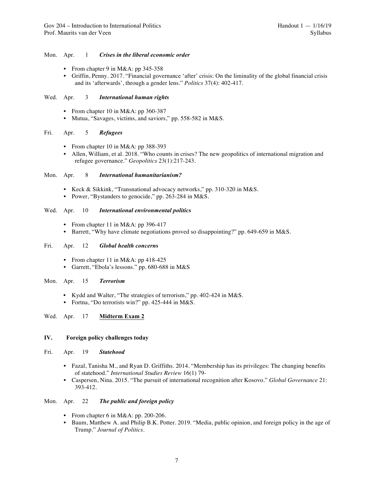## Mon. Apr. 1 *Crises in the liberal economic order*

- From chapter 9 in M&A: pp  $345-358$
- Griffin, Penny. 2017. "Financial governance 'after' crisis: On the liminality of the global financial crisis and its 'afterwards', through a gender lens." *Politics* 37(4): 402-417.

## Wed. Apr. 3 *International human rights*

- From chapter 10 in M&A: pp 360-387
- Mutua, "Savages, victims, and saviors," pp. 558-582 in M&S.

## Fri. Apr. 5 *Refugees*

- From chapter 10 in M&A: pp 388-393
- Allen, William, et al. 2018. "Who counts in crises? The new geopolitics of international migration and refugee governance." *Geopolitics* 23(1):217-243.

## Mon. Apr. 8 *International humanitarianism?*

- Keck & Sikkink, "Transnational advocacy networks," pp. 310-320 in M&S.
- Power, "Bystanders to genocide," pp. 263-284 in M&S.

## Wed. Apr. 10 *International environmental politics*

- From chapter 11 in M&A: pp 396-417
- Barrett, "Why have climate negotiations proved so disappointing?" pp. 649-659 in M&S.

#### Fri. Apr. 12 *Global health concerns*

- From chapter 11 in M&A: pp 418-425
- Garrett, "Ebola's lessons." pp. 680-688 in M&S

#### Mon. Apr. 15 *Terrorism*

- Kydd and Walter, "The strategies of terrorism," pp. 402-424 in M&S.
- Fortna, "Do terrorists win?" pp. 425-444 in M&S.

## Wed. Apr. 17 **Midterm Exam 2**

## **IV. Foreign policy challenges today**

- Fri. Apr. 19 *Statehood*
	- Fazal, Tanisha M., and Ryan D. Griffiths. 2014. "Membership has its privileges: The changing benefits of statehood." *International Studies Review* 16(1) 79-
	- Caspersen, Nina. 2015. "The pursuit of international recognition after Kosovo." *Global Governance* 21: 393-412.

## Mon. Apr. 22 *The public and foreign policy*

- From chapter 6 in M&A: pp. 200-206.
- Baum, Matthew A. and Philip B.K. Potter. 2019. "Media, public opinion, and foreign policy in the age of Trump." *Journal of Politics.*